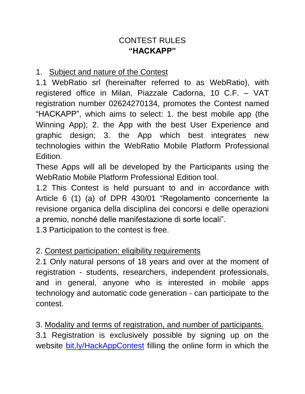# CONTEST RULES **"HACKAPP"**

#### 1. Subject and nature of the Contest

1.1 WebRatio srl (hereinafter referred to as WebRatio), with registered office in Milan, Piazzale Cadorna, 10 C.F. – VAT registration number 02624270134, promotes the Contest named "HACKAPP", which aims to select: 1. the best mobile app (the Winning App); 2. the App with the best User Experience and graphic design; 3. the App which best integrates new technologies within the WebRatio Mobile Platform Professional Edition.

These Apps will all be developed by the Participants using the WebRatio Mobile Platform Professional Edition tool.

1.2 This Contest is held pursuant to and in accordance with Article 6 (1) (a) of DPR 430/01 "Regolamento concernente la revisione organica della disciplina dei concorsi e delle operazioni a premio, nonché delle manifestazione di sorte locali".

1.3 Participation to the contest is free.

#### 2. Contest participation: eligibility requirements

2.1 Only natural persons of 18 years and over at the moment of registration - students, researchers, independent professionals, and in general, anyone who is interested in mobile apps technology and automatic code generation - can participate to the contest.

3. Modality and terms of registration, and number of participants.

3.1 Registration is exclusively possible by signing up on the website [bit.ly/HackAppContest](file:///C:/Users/Lugia%20Pezzotti/Downloads/bit.ly/HackAppContest) filling the online form in which the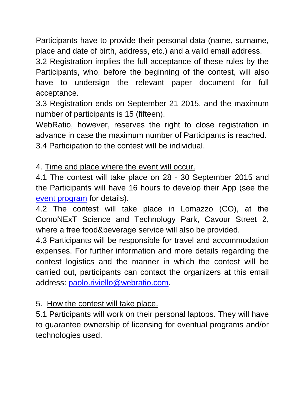Participants have to provide their personal data (name, surname, place and date of birth, address, etc.) and a valid email address.

3.2 Registration implies the full acceptance of these rules by the Participants, who, before the beginning of the contest, will also have to undersign the relevant paper document for full acceptance.

3.3 Registration ends on September 21 2015, and the maximum number of participants is 15 (fifteen).

WebRatio, however, reserves the right to close registration in advance in case the maximum number of Participants is reached. 3.4 Participation to the contest will be individual.

4. Time and place where the event will occur.

4.1 The contest will take place on 28 - 30 September 2015 and the Participants will have 16 hours to develop their App (see the [event program](file:///C:/Users/Lugia%20Pezzotti/Downloads/bit.ly/HackAppContest) for details).

4.2 The contest will take place in Lomazzo (CO), at the ComoNExT Science and Technology Park, Cavour Street 2, where a free food&beverage service will also be provided.

4.3 Participants will be responsible for travel and accommodation expenses. For further information and more details regarding the contest logistics and the manner in which the contest will be carried out, participants can contact the organizers at this email address: [paolo.riviello@webratio.com.](mailto:paolo.riviello@webratio.com)

# 5. How the contest will take place.

5.1 Participants will work on their personal laptops. They will have to guarantee ownership of licensing for eventual programs and/or technologies used.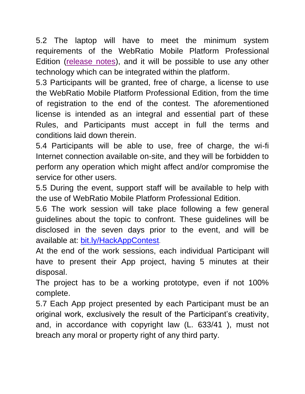5.2 The laptop will have to meet the minimum system requirements of the WebRatio Mobile Platform Professional Edition [\(release notes\)](http://my.webratio.com/learn/learningobject/webratio-mobile-platform-84-release-notes-v-80), and it will be possible to use any other technology which can be integrated within the platform.

5.3 Participants will be granted, free of charge, a license to use the WebRatio Mobile Platform Professional Edition, from the time of registration to the end of the contest. The aforementioned license is intended as an integral and essential part of these Rules, and Participants must accept in full the terms and conditions laid down therein.

5.4 Participants will be able to use, free of charge, the wi-fi Internet connection available on-site, and they will be forbidden to perform any operation which might affect and/or compromise the service for other users.

5.5 During the event, support staff will be available to help with the use of WebRatio Mobile Platform Professional Edition.

5.6 The work session will take place following a few general guidelines about the topic to confront. These guidelines will be disclosed in the seven days prior to the event, and will be available at: [bit.ly/HackAppContest](file:///C:/Users/Lugia%20Pezzotti/Downloads/bit.ly/HackAppContest).

At the end of the work sessions, each individual Participant will have to present their App project, having 5 minutes at their disposal.

The project has to be a working prototype, even if not 100% complete.

5.7 Each App project presented by each Participant must be an original work, exclusively the result of the Participant's creativity, and, in accordance with copyright law (L. 633/41 ), must not breach any moral or property right of any third party.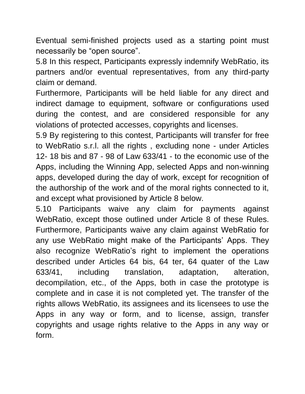Eventual semi-finished projects used as a starting point must necessarily be "open source".

5.8 In this respect, Participants expressly indemnify WebRatio, its partners and/or eventual representatives, from any third-party claim or demand.

Furthermore, Participants will be held liable for any direct and indirect damage to equipment, software or configurations used during the contest, and are considered responsible for any violations of protected accesses, copyrights and licenses.

5.9 By registering to this contest, Participants will transfer for free to WebRatio s.r.l. all the rights , excluding none - under Articles 12- 18 bis and 87 - 98 of Law 633/41 - to the economic use of the Apps, including the Winning App, selected Apps and non-winning apps, developed during the day of work, except for recognition of the authorship of the work and of the moral rights connected to it, and except what provisioned by Article 8 below.

5.10 Participants waive any claim for payments against WebRatio, except those outlined under Article 8 of these Rules. Furthermore, Participants waive any claim against WebRatio for any use WebRatio might make of the Participants' Apps. They also recognize WebRatio's right to implement the operations described under Articles 64 bis, 64 ter, 64 quater of the Law 633/41, including translation, adaptation, alteration, decompilation, etc., of the Apps, both in case the prototype is complete and in case it is not completed yet. The transfer of the rights allows WebRatio, its assignees and its licensees to use the Apps in any way or form, and to license, assign, transfer copyrights and usage rights relative to the Apps in any way or form.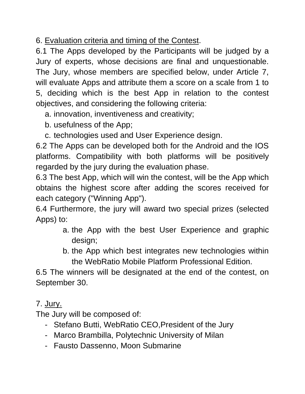6. Evaluation criteria and timing of the Contest.

6.1 The Apps developed by the Participants will be judged by a Jury of experts, whose decisions are final and unquestionable. The Jury, whose members are specified below, under Article 7, will evaluate Apps and attribute them a score on a scale from 1 to 5, deciding which is the best App in relation to the contest objectives, and considering the following criteria:

a. innovation, inventiveness and creativity;

b. usefulness of the App;

c. technologies used and User Experience design.

6.2 The Apps can be developed both for the Android and the IOS platforms. Compatibility with both platforms will be positively regarded by the jury during the evaluation phase.

6.3 The best App, which will win the contest, will be the App which obtains the highest score after adding the scores received for each category ("Winning App").

6.4 Furthermore, the jury will award two special prizes (selected Apps) to:

- a. the App with the best User Experience and graphic design;
- b. the App which best integrates new technologies within the WebRatio Mobile Platform Professional Edition.

6.5 The winners will be designated at the end of the contest, on September 30.

# 7. Jury.

The Jury will be composed of:

- Stefano Butti, WebRatio CEO,President of the Jury
- Marco Brambilla, Polytechnic University of Milan
- Fausto Dassenno, Moon Submarine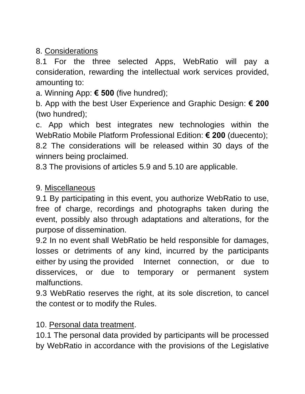8. Considerations

8.1 For the three selected Apps, WebRatio will pay a consideration, rewarding the intellectual work services provided, amounting to:

a. Winning App: **€ 500** (five hundred);

b. App with the best User Experience and Graphic Design: **€ 200** (two hundred);

c. App which best integrates new technologies within the WebRatio Mobile Platform Professional Edition: **€ 200** (duecento); 8.2 The considerations will be released within 30 days of the winners being proclaimed.

8.3 The provisions of articles 5.9 and 5.10 are applicable.

#### 9. Miscellaneous

9.1 By participating in this event, you authorize WebRatio to use, free of charge, recordings and photographs taken during the event, possibly also through adaptations and alterations, for the purpose of dissemination.

9.2 In no event shall WebRatio be held responsible for damages, losses or detriments of any kind, incurred by the participants either by using the provided Internet connection, or due to disservices, or due to temporary or permanent system malfunctions.

9.3 WebRatio reserves the right, at its sole discretion, to cancel the contest or to modify the Rules.

10. Personal data treatment.

10.1 The personal data provided by participants will be processed by WebRatio in accordance with the provisions of the Legislative